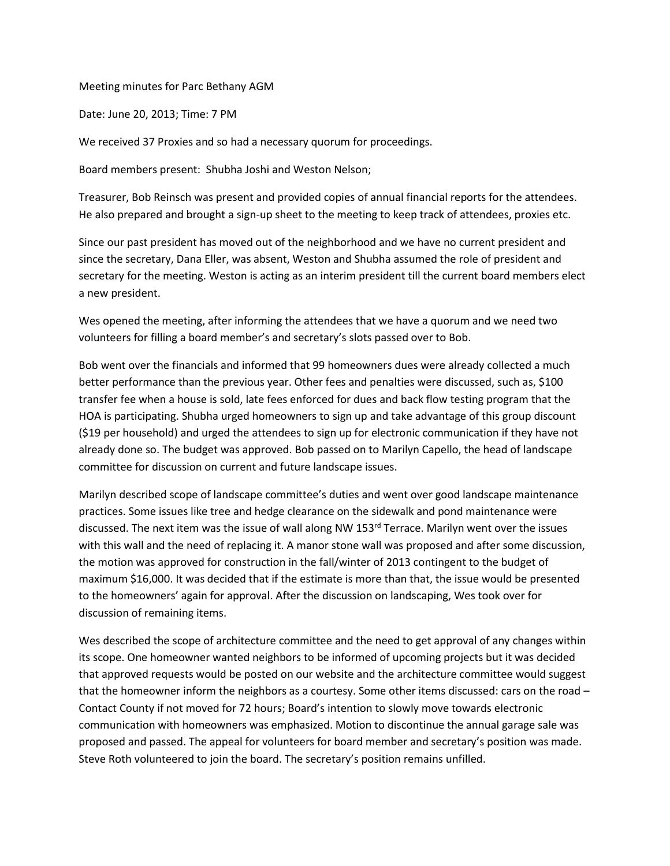## Meeting minutes for Parc Bethany AGM

Date: June 20, 2013; Time: 7 PM

We received 37 Proxies and so had a necessary quorum for proceedings.

Board members present: Shubha Joshi and Weston Nelson;

Treasurer, Bob Reinsch was present and provided copies of annual financial reports for the attendees. He also prepared and brought a sign-up sheet to the meeting to keep track of attendees, proxies etc.

Since our past president has moved out of the neighborhood and we have no current president and since the secretary, Dana Eller, was absent, Weston and Shubha assumed the role of president and secretary for the meeting. Weston is acting as an interim president till the current board members elect a new president.

Wes opened the meeting, after informing the attendees that we have a quorum and we need two volunteers for filling a board member's and secretary's slots passed over to Bob.

Bob went over the financials and informed that 99 homeowners dues were already collected a much better performance than the previous year. Other fees and penalties were discussed, such as, \$100 transfer fee when a house is sold, late fees enforced for dues and back flow testing program that the HOA is participating. Shubha urged homeowners to sign up and take advantage of this group discount (\$19 per household) and urged the attendees to sign up for electronic communication if they have not already done so. The budget was approved. Bob passed on to Marilyn Capello, the head of landscape committee for discussion on current and future landscape issues.

Marilyn described scope of landscape committee's duties and went over good landscape maintenance practices. Some issues like tree and hedge clearance on the sidewalk and pond maintenance were discussed. The next item was the issue of wall along NW 153<sup>rd</sup> Terrace. Marilyn went over the issues with this wall and the need of replacing it. A manor stone wall was proposed and after some discussion, the motion was approved for construction in the fall/winter of 2013 contingent to the budget of maximum \$16,000. It was decided that if the estimate is more than that, the issue would be presented to the homeowners' again for approval. After the discussion on landscaping, Wes took over for discussion of remaining items.

Wes described the scope of architecture committee and the need to get approval of any changes within its scope. One homeowner wanted neighbors to be informed of upcoming projects but it was decided that approved requests would be posted on our website and the architecture committee would suggest that the homeowner inform the neighbors as a courtesy. Some other items discussed: cars on the road – Contact County if not moved for 72 hours; Board's intention to slowly move towards electronic communication with homeowners was emphasized. Motion to discontinue the annual garage sale was proposed and passed. The appeal for volunteers for board member and secretary's position was made. Steve Roth volunteered to join the board. The secretary's position remains unfilled.